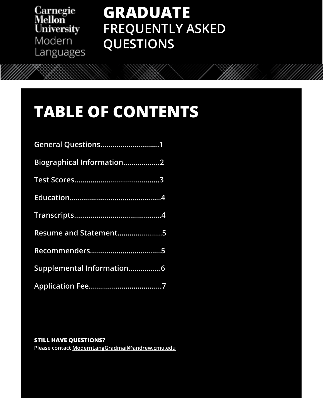Carnegie<br>Mellon<br>University Modern Languages

# **GRADUATE FREQUENTLY ASKED QUESTIONS**

China, for example, and how those conventions might affect learner perception of contemporary

communicative, constructivist, and interactionist approaches. The course is taught in tandem with 82-893 Teaching Modern Languages and Cultures (see below), which allows for multiple

This course is intended to be taken in tandem with Teaching Methodologies for the Foreign

Language Classroom. Students will initially prioritize observation and analysis of the pedagogical techniques of multiple teachers in several languages at the elementary level. In a second phase, students will select a cooperating teacher to shadow in their language of specialization, and

American practice). Methodologies surveyed might include grammar-based instruction; the audio-lingual method; Total Physical Response; topical-functional architectures; and

# **TABLE OF CONTENTS**

| Biographical Information2 |
|---------------------------|
|                           |
|                           |
|                           |
| Resume and Statement5     |
|                           |
| Supplemental Information6 |
|                           |

# **OBSERVIEW OF EXPERIENCES IN DIFFERENT TABLES IN DIFFERENT TABLES IN DIFFERENT TABLES IN DIFFERENCES IN DIFFEREN**

**82-893 Teaching Modern Languages and Cultures I | 9 units Please contact ModernLangGradmail@andrew.cmu.edu**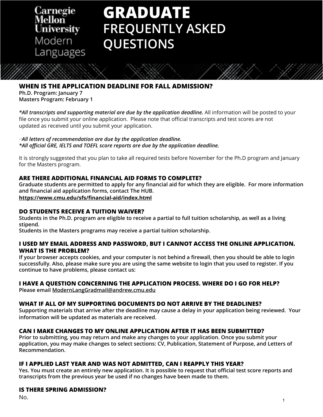<span id="page-1-0"></span>Carnegie iversity Modern Languages

# **GRADUATE FREQUENTLY ASKED QUESTIONS**

### **WHEN IS THE APPLICATION DEADLINE FOR FALL ADMISSION?**

**Ph.D. Program: January 7 Masters Program: February 1**

*\*All transcripts and supporting material are due by the application deadline.* All information will be posted to your file once you submit your online application. Please note that official transcripts and test scores are not updated as received until you submit your application.

*All letters of recommendation are due by the application deadline. \*All official GRE, IELTS and TOEFL score reports are due by the application deadline.*

**82-783 Second Language Acquisition: Theories and Research | 9 Units** It is strongly suggested that you plan to take all required tests before November for the Ph.D program and January  $T_{\rm tot}$  course studies studies to the field of Second Language Acquisition (SLA) in order to  $T_{\rm tot}$ for the Masters program.

### ARE THERE ADDITIONAL FINANCIAL AID FORMS TO COMPLETE?

Graduate students are permitted to apply for any financial aid for which they are eligible. For more information and financial aid application forms, contact The HUB.  $\,$ 

<https://www.cmu.edu/sfs/financial-aid/index.html>

# **DO STUDENTS RECEIVE A TUITION WAIVER?**

DU STUDENTS RECEIVE A TUTTUN WAIVER:<br>Students in the Bh D, program are eligible to receive a partial to full tuition scholarship, as well as a living Students in the Ph.D. program are eligible to receive a partial to full tuition scholarship, as well as a living<br>stipend. **stipend.**

Students in the Masters programs may receive a partial tuition scholarship.

### I USED MY EMAIL ADDRESS AND PASSWORD, BUT I CANNOT ACCESS THE ONLINE APPLICATION. **WHAT IS THE PROBLEM?**

If your browser accepts cookies, and your computer is not berling a mewan, then you should be able to login<br>successfully. Also, please make sure you are using the same website to login that you used to register. If you **If your browser accepts cookies, and your computer is not behind a firewall, then you should be able to login continue to have problems, please contact us:**

## **I HAVE A QUESTION CONCERNING THE APPLICATION PROCESS. WHERE DO I GO FOR HELP?**

components where applicable (traditional language instruction in classrooms in Germany and **Please email ModernLangGradmail@andrew.cmu.edu**

# WHAT IF ALL OF MY SUPPORTING DOCUMENTS DO NOT ARRIVE BY THE DEADLINES?

**WHAT IF ALL OF MT SUPPORTING DUCUMENTS DUTION ARRIVE BT THE DEADLINES:**<br>Supporting materials that arrive after the deadline may cause a delay in your application being reviewed. Your the audio-lingual method; Total Physical Response; topical-functional architectures; and **information will be updated as materials are received.** communicative, computativist, and interactionist approaches. The course is taught in tandem or tandem in tandem

### CAN I MAKE CHANGES TO MY ONLINE APPLICATION AFTER IT HAS BEEN SUBMITTED?

Prior to submitting, you may return and make any changes to your application. Once you submit your **82-893 Teaching Modern Language and Cultures I in the Cultures I in the Cultures I in the Cultures I in the Cultures I in the Cultures I in the Cultures I in the Cultures I in the Cultures I in the Cultures I in the Cultu application, you may make changes to select sections: CV, Publication, Statement of Purpose, and Letters of Recommendation.** 

### **IF I APPLIED LAST YEAR AND WAS NOT ADMITTED, CAN I REAPPLY THIS YEAR?**

Yes. You must create an entirely new application. It is possible to request that official test score reports and transcripts from the previous year be used if no changes have been made to them.

### techniques of multiple teachers in several languages at the elementary level. In a second phase, in a second phase, **IS THERE SPRING ADMISSION? IS THEIR LANGUAGE OF SPECIAL SPECIALIZATION**, and and  $\mathbf{I}(\mathbf{X}|\mathbf{X})=\mathbf{I}(\mathbf{X}|\mathbf{X})$

No.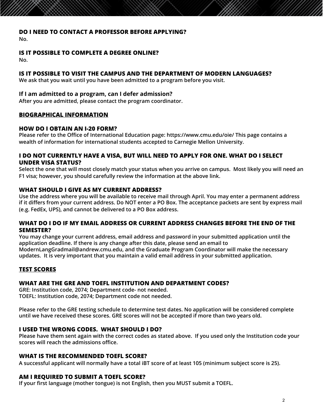### <span id="page-2-0"></span>**DO I NEED TO CONTACT A PROFESSOR BEFORE APPLYING?**

**No.**

### **IS IT POSSIBLE TO COMPLETE A DEGREE ONLINE?**

**No.**

### **IS IT POSSIBLE TO VISIT THE CAMPUS AND THE DEPARTMENT OF MODERN LANGUAGES?**

**We ask that you wait until you have been admitted to a program before you visit.**

### **If I am admitted to a program, can I defer admission?**

**After you are admitted, please contact the program coordinator.**

### **BIOGRAPHICAL INFORMATION**

### **HOW DO I OBTAIN AN I-20 FORM?**

Please refer to the Office of International Education page: https://www.cmu.edu/oie/ This page contains a<br>Wealth of information for international students assented to Carnegie Mellen University **wealth of information for international students accepted to Carnegie Mellon University.**

### **I DO NOT CURRENTLY HAVE A VISA, BUT WILL NEED TO APPLY FOR ONE. WHAT DO I SELECT UNDER VISA STATUS?**

Select the one that will most closely match your status when you arrive on campus. Most likely you will need an F1 visa; however, you should carefully review the information at the above link.

#### accurse will survey various theories of survey various theories of second language acquisition (e.g., Universal **WHAT SHOULD I GIVE AS MY CURRENT ADDRESS?**

**wHAT SHOULD I GIVE AS MT CUKKENT ADDKESS?**<br>Use the address where you will be available to receive mail through April. You may enter a permanent address <sub>i</sub> Ose the address where you will be available to receive mail through Aphil. Tou may enter a permanent address<br>if it differs from your current address. Do NOT enter a PO Box. The acceptance packets are sent by express mail examined in the light of recent research findings. The course will also examine the impact of **(e.g. FedEx, UPS), and cannot be delivered to a PO Box address.** internal and external factors on second language acquisition and development. Some topics

#### WHAT DO I DO IF MY EMAIL ADDRESS OR CURRENT ADDRESS CHANGES BEFORE THE END OF THE  $\tt SEMESTER?$ **SEMESTER?**

You may change your current address, email address and password in your submitted application until the application deadline. If there is any change after this date, please send an email to **any change of the continues 82-793 Teaching Methodologies for the Foreign Language Classroom | 9 Units ModernLangGradmail@andrew.cmu.edu, and the Graduate Program Coordinator will make the necessary updates. It is very important that you maintain a valid email address in your submitted application.** 

### **TEST SCORES**

## WHAT ARE THE GRE AND TOEFL INSTITUTION AND DEPARTMENT CODES?

GRE: Institution code, 2074; Department code- not needed.<br>TOFFL: Institution code, 2074; Department code- not needed. China, for example, and how those conventions might affect learner perception of contemporary **TOEFL: Institution code, 2074; Department code not needed.**

Please refer to the GRE testing schedule to determine test dates. No application will be considered complete until we have received these scores. GRE scores will not be accepted if more than two years old.

### **I USED THE WRONG CODES. WHAT SHOULD I DO?** WHEN  $\mathbf{I}$

observations of experienced teachers in different target-language contexts. **Please have them sent again with the correct codes as stated above. If you used only the Institution code your scores will reach the admissions office.**

# WHAT IS THE RECOMMENDED TOEFL SCORE?

This course is intended to be taken in tandem with Teaching Methodologies for the Foreign **A successful applicant will normally have a total iBT score of at least 105 (minimum subject score is 25).**

### AM I REQUIRED TO SUBMIT A TOEFL SCORE? **AM I REQUIRED TO SUBMIT A TOEFL SCORE?**

If your first language (mother tongue) is not English, then you MUST submit a TOEFL.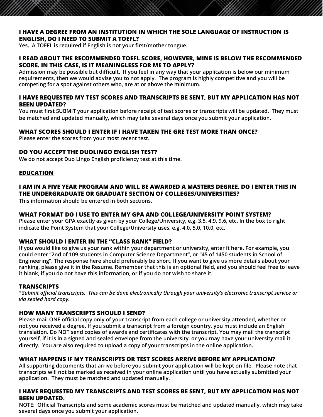### <span id="page-3-0"></span>**I HAVE A DEGREE FROM AN INSTITUTION IN WHICH THE SOLE LANGUAGE OF INSTRUCTION IS ENGLISH, DO I NEED TO SUBMIT A TOEFL?**

**Yes. A TOEFL is required if English is not your first/mother tongue.** 

### **I READ ABOUT THE RECOMMENDED TOEFL SCORE, HOWEVER, MINE IS BELOW THE RECOMMENDED SCORE. IN THIS CASE, IS IT MEANINGLESS FOR ME TO APPLY?**

**Admission may be possible but difficult. If you feel in any way that your application is below our minimum requirements, then we would advise you to not apply. The program is highly competitive and you will be competing for a spot against others who, are at or above the minimum.**

### **I HAVE REQUESTED MY TEST SCORES AND TRANSCRIPTS BE SENT, BUT MY APPLICATION HAS NOT BEEN UPDATED?**

**You must first SUBMIT your application before receipt of test scores or transcripts will be updated. They must be matched and updated manually, which may take several days once you submit your application.**

### **WHAT SCORES SHOULD I ENTER IF I HAVE TAKEN THE GRE TEST MORE THAN ONCE?**

**CORES SHOOLD I LIVIER IT THATE TARK**<br>Please enter the scores from your most recent test.

# **82-783 Second Language Acquisition: Theories and Research | 9 Units DO YOU ACCEPT THE DUOLINGO ENGLISH TEST?**

**We do not accept Duo Lingo English proficiency test at this time.**

#### This course introduces students to the field of Second Language Acquisition (SLA) in order to provide them with an understanding of the way in which second languages are learned and languages are learned and languages are learned and languages are learned and languages are learned and languages are learned and lang **EDUCATION**

## **I AM IN A FIVE YEAR PROGRAM AND WILL BE AWARDED A MASTERS DEGREE. DO I ENTER THIS IN** THE UNDERGRADUATE OR GRADUATE SECTION OF COLLEGES/UNIVERSITIES?

language socialization, and the complex dynamic systems perspective), and their claims will be **This information should be entered in both sections.**

### WHAT FORMAT DO I USE TO ENTER MY GPA AND COLLEGE/UNIVERSITY POINT SYSTEM?

Please enter your GPA exactly as given by your College/University, e.g. 3.5, 4.9, 9.6, etc. In the box to right indicate the Point System that your College/University uses, e.g. 4.0, 5.0, 10.0, etc.

# WHAT SHOULD I ENTER IN THE "CLASS RANK" FIELD? **And instruction in second in second i**

**If you would like to give us your rank within your department or university, enter it here. For example, you** <br>If you would like to give us your rank within your department or university, enter it here. For example, you Engineering". The response here should preferably be short. If you want to give us more details about your it blank, if you do not have this information, or if you do not wish to share it.<br> **could enter "2nd of 109 students in Computer Science Department", or "45 of 1450 students in School of ranking, please give it in the Resume. Remember that this is an optional field, and you should feel free to leave** 

#### $\frac{1}{2}$  instruction, with a primary emphasis on  $\frac{1}{2}$  intercultural contexts, but with some intercultural contexts, but with some intercultural contexts, but with some intercultural contexts,  $\frac{1}{2}$ **TRANSCRIPTS**

\*Submit official transcripts. This can be done electronically through your university's electronic transcript service or China, for example, and how those conventions might affect learner perception of contemporary *via sealed hard copy.*

#### the audio-line methods and audio-lines. Total Physical Physical Response; topical-functional architectures; and architectures; and architectures; and architectures; and architectures; and architectures; and architectures; **HOW MANY TRANSCRIPTS SHOULD I SEND?**

Please mail ONE official copy only of your transcript from each college or university attended, whether or<br>not you received a degree. If you submit a transcript from a foreign country, you must include an English with 82-893 Teaching Modern Languages and Cultures (see below), which allows for multiple **translation. Do NOT send copies of awards and certificates with the transcript. You may mail the transcript yourself, if it is in a signed and sealed envelope from the university, or you may have your university mail it Please mail ONE official copy only of your transcript from each college or university attended, whether or directly. You are also required to upload a copy of your transcripts in the online application.**

### **82-893 Teaching Modern Languages and Cultures I | 9 units WHAT HAPPENS IF MY TRANSCRIPTS OR TEST SCORES ARRIVE BEFORE MY APPLICATION?**

An supporting accurients that arrive before you submit your application will be kept on the. Frease note the<br>transcripts will not be marked as received in your online application until you have actually submitted your Language Classroom. Students will initially prioritize observation and analysis of the pedagogical **application. They must be matched and updated manually. All supporting documents that arrive before you submit your application will be kept on file. Please note that** 

### I HAVE REQUESTED MY TRANSCRIPTS AND TEST SCORES BE SENT, BUT MY APPLICATION HAS NOT **BEEN UPDATED.**

**NOTE: Official Transcripts and some academic scores must be matched and updated manually, which may take**  3**several days once you submit your application.**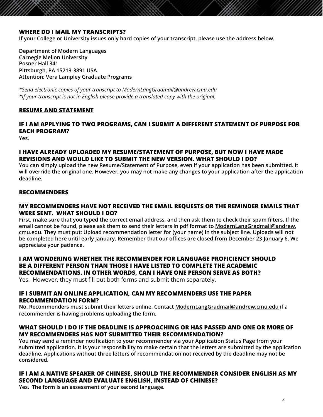### <span id="page-4-0"></span>**WHERE DO I MAIL MY TRANSCRIPTS?**

**If your College or University issues only hard copies of your transcript, please use the address below.** 

**Department of Modern Languages Carnegie Mellon University Posner Hall 341 Pittsburgh, PA 15213-3891 USA Attention: Vera Lampley Graduate Programs**

*\*Send electronic copies of your transcript to [ModernLangGradmail@andrew.cmu.edu](mailto:ModernLangGradmail@andrew.cmu.edu ) \*If your transcript is not in English please provide a translated copy with the original.*

### **RESUME AND STATEMENT**

### **Core Course Descriptions**<br>Yes. **IF I AM APPLYING TO TWO PROGRAMS, CAN I SUBMIT A DIFFERENT STATEMENT OF PURPOSE FOR EACH PROGRAM?**

**Yes.**

### **I HAVE ALREADY UPLOADED MY RESUME/STATEMENT OF PURPOSE, BUT NOW I HAVE MADE**<br>PEWSIANG AND WALL BLUG TO SUPPLIT THE NEW VERSIAN WILLT SHALL BLRGS **REVISIONS AND WOULD LIKE TO SUBMIT THE NEW VERSION. WHAT SHOULD I DO?**

Tod can simply apioda the hew resume*rstatement of Larpose,* even if your application has seen submitted. It<br>will override the original one. However, you may not make any changes to your application after the application  $\mathsf{deadline}.$  we have understanding of the way in which second languages are learned and languages are learned and languages are learned and languages are learned and languages are learned and languages are learned and langua **You can simply upload the new Resume/Statement of Purpose, even if your application has been submitted. It deadline.**

### Grammar, Connectionism, usage-based approach, Interaction Hypothesis, sociocultural theory, **RECOMMENDERS**

#### MY RECOMMENDERS HAVE NOT RECEIVED THE EMAIL REQUESTS OR THE REMINDER EMAILS THAT internal and external factors on second language acquisition and development. Some topics **WERE SENT. WHAT SHOULD I DO?**

First, make sure that you typed the correct email address, and then ask them to check their spann litters. If th<br>email cannot be found, please ask them to send their letters in pdf format to <u>ModernLangGradmail@andrew.</u> email cannot be found, pieuse usit them to send their fetters in purflommatics <u>inbaermeding situations and cut</u><br><u>cmu.edu</u>. They must put: Upload recommendation letter for (your name) in the subject line. Uploads will not **be completed here until early January. Remember that our offices are closed from December 23-January 6. We** appreciate your patience. **First, make sure that you typed the correct email address, and then ask them to check their spam filters. If the** 

### I AM WONDERING WHETHER THE RECOMMENDER FOR LANGUAGE PROFICIENCY SHOULD<br>BE A DIFFERENT PERSON THAN THOSE I HAVE LISTED TO COMPLETE THE ACADEMIC **I AM WONDERING WHETHER THE RECOMMENDER FOR LANGUAGE PROFICIENCY SHOULD RECOMMENDATIONS. IN OTHER WORDS, CAN I HAVE ONE PERSON SERVE AS BOTH?**

recomments, they must include the onest cannot the practice in the second second second.<br>Yes. However, they must fill out both forms and submit them separately. it is a processed primary emphasis on a primary emphasis on a proportional components, but with some interests

### IF I SUBMIT AN ONLINE APPLICATION, CAN MY RECOMMENDERS USE THE PAPER **RECOMMENDATION FORM? EXAMPLE, and how those conventions might affect affect learner perception of contemporary**  $\mathbf{r}$

No. Recommenders must submit their letters online. Contact <u>ModernLangGradmail@andrew.cmu.edu</u> if a recommender is having problems uploading the form.

### communicative, constructivist, and interactionist approaches. The course is taught in tandem WHAT SHOULD I DO IF THE DEADLINE IS APPROACHING OR HAS PASSED AND ONE OR MORE OF<br>- Which also resulting to a line allows for all all all also resulting for all all all all all all all all all **MY RECOMMENDERS HAS NOT SUBMITTED THEIR RECOMMENDATION?**

wit **RECOMMENDERS HAS NOT SOBMITTED THEIR RECOMMENDATION:**<br>You may send a reminder notification to your recommender via your Application Status Page from your **82-893 Teaching Modern Languages and Cultures I | 9 units deadline. Applications without three letters of recommendation not received by the deadline may not be submitted application. It is your responsibility to make certain that the letters are submitted by the application considered.**

### This course is intended to be the taxen in the Teaching Methodologies for the Foreign Methodologies for the Fo<br>The Foreign Methodologies for the Foreign Methodologies for the Foreign Methodologies for the Foreign Methodol IF I AM A NATIVE SPEAKER OF CHINESE, SHOULD THE RECOMMENDER CONSIDER ENGLISH AS MY<br>SESOND LANSUASE AND EVALUATE FNSLISH, INSTEAD OF SUINESER techniques of multiple teachers in several languages at the elementary level. In a second phase, **Yes. The form is an assessment of your second language. SECOND LANGUAGE AND EVALUATE ENGLISH, INSTEAD OF CHINESE?**

 $s_{\text{max}}$  and the complete a cooperation of  $\epsilon$  your become imaging of specialization, and specialization, and and  $\epsilon$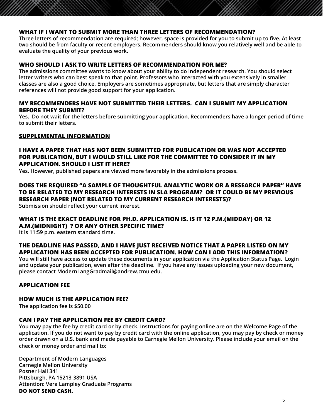### <span id="page-5-0"></span>**WHAT IF I WANT TO SUBMIT MORE THAN THREE LETTERS OF RECOMMENDATION?**

**Three letters of recommendation are required; however, space is provided for you to submit up to five. At least two should be from faculty or recent employers. Recommenders should know you relatively well and be able to evaluate the quality of your previous work.**

### **WHO SHOULD I ASK TO WRITE LETTERS OF RECOMMENDATION FOR ME?**

**The admissions committee wants to know about your ability to do independent research. You should select letter writers who can best speak to that point. Professors who interacted with you extensively in smaller classes are also a good choice. Employers are sometimes appropriate, but letters that are simply character references will not provide good support for your application.**

### **MY RECOMMENDERS HAVE NOT SUBMITTED THEIR LETTERS. CAN I SUBMIT MY APPLICATION BEFORE THEY SUBMIT?**

**Yes. Do not wait for the letters before submitting your application. Recommenders have a longer period of time to submit their letters.**

# **Core Course Descriptions SUPPLEMENTAL INFORMATION**

### **FIAVE A PAPENTIAL HAS NOT BEEN SOBMITTED FOR POBLICATION ON WAS NOT ACCEPT I HAVE A PAPER THAT HAS NOT BEEN SUBMITTED FOR PUBLICATION OR WAS NOT ACCEPTED APPLICATION. SHOULD I LIST IT HERE?**

Yes. However, published papers are viewed more favorably in the admissions process.

## **DOES THE REQUIRED "A SAMPLE OF THOUGHTFUL ANALYTIC WORK OR A RESEARCH PAPER" HAVE** TO BE RELATED TO MY RESEARCH INTERESTS IN SLA PROGRAM? OR IT COULD BE MY PREVIOUS RESEARCH PAPER (NOT RELATED TO MY CURRENT RESEARCH INTERESTS)?

Submission should reflect your current interest.  $\blacksquare$ 

### internal and external factors on second language acquisition and development. Some topics include: the role of learning environment for language acquisition (e.g., study abroad settings, **WHAT IS THE EXACT DEADLINE FOR PH.D. APPLICATION IS. IS IT 12 P.M.(MIDDAY) OR 12**  technology-mediated contexts), explanations for different success among second language **It is 11:59 p.m. eastern standard time. A.M.(MIDNIGHT) ? OR ANY OTHER SPECIFIC TIME?**

learners, variations in second language use, and the effect of classroom instruction in second

### THE DEADLINE HAS PASSED, AND I HAVE JUST RECEIVED NOTICE THAT A PAPER LISTED ON MY **APPLICATION HAS BEEN ACCEPTED FOR PUBLICATION. HOW CAN I ADD THIS INFORMATION?**

**You will still have access to update these documents in your application via the Application Status Page. Login**<br>and undate vour publication, over after the deadline. If you have any issues upleading your pow desument. This course includes a survey of pedagogical theory and pedagogical theory and practice in foreign and second language **and update your publication, even after the deadline. If you have any issues uploading your new document, please contact ModernLangGradmail@andrew.cmu.edu.**

### **instruction on American contexts, but with some intercultural contexts, but with some intercultural contexts, but with some intercultural contexts, but with some intercultural contexts, but with some intercultural context**

### China, for example, and how those conventions might affect learner perception of contemporary **HOW MUCH IS THE APPLICATION FEE?**

American practice). Methodologies surveyed might include grammar-based instruction; **The application fee is \$50.00**

#### the audio-lingual method; Total Physical Response; topical-functional architectures; and **CAN I PAY THE APPLICATION FEE BY CREDIT CARD?**

**CAN I PAT THE APPLICATION FEE BT CREDIT CARD?**<br>You may pay the fee by credit card or by check. Instructions for paying online are on the Welcome Page of the Fod may pay the ree by credit card of by check. Instructions for paying online are on the welcome rage or the<br>application. If you do not want to pay by credit card with the online application, you may pay by check or money observations of experienced teachers in different target-language contexts. **order drawn on a U.S. bank and made payable to Carnegie Mellon University. Please include your email on the check or money order and mail to:** 

**82-893 Teaching Modern Languages and Cultures I | 9 units** This course is intended to be taken in the tandem with Teaching Methodologies for the Foreign Methodologies for<br>Posner Hall 341 Language Classroom. Students will initially prioritize observation and analysis of the pedagogical **Pittsburgh, PA 15213-3891 USA** Attention: Vera Lampley Graduate Programs **in a second phase, in a second phase, i**n a second phase, in a second p students will select a cooperating teacher to shadow in the interval of specialization, and  $\mathbf{D} \mathbf{D} \mathbf{D} \mathbf{D} \mathbf{D} \mathbf{D} \mathbf{D} \mathbf{D} \mathbf{D} \mathbf{D} \mathbf{D} \mathbf{D} \mathbf{D} \mathbf{D} \mathbf{D} \mathbf{D} \mathbf{D} \mathbf{D} \mathbf{D} \mathbf{D} \mathbf{D} \mathbf$ **Department of Modern Languages Carnegie Mellon University Posner Hall 341**